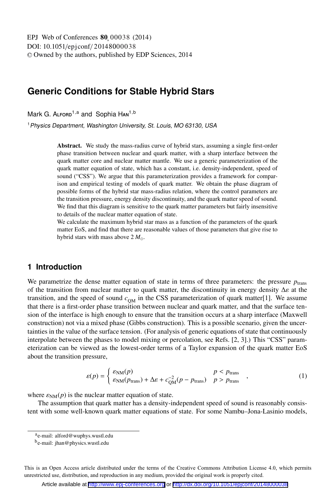# **Generic Conditions for Stable Hybrid Stars**

Mark G. ALFORD<sup>1,a</sup> and Sophia HAN<sup>1,b</sup>

1 $P$  is department, was found University, St. Louis, Monte  $\sum_{i=1}^{n}$ 

> Abstract. We study the mass-radius curve of hybrid stars, assuming a single first-order phase transition between nuclear and quark matter, with a sharp interface between the quark matter core and nuclear matter mantle. We use a generic parameterization of the quark matter equation of state, which has a constant, i.e. density-independent, speed of sound ("CSS"). We argue that this parameterization provides a framework for comparison and empirical testing of models of quark matter. We obtain the phase diagram of possible forms of the hybrid star mass-radius relation, where the control parameters are the transition pressure, energy density discontinuity, and the quark matter speed of sound. We find that this diagram is sensitive to the quark matter parameters but fairly insensitive to details of the nuclear matter equation of state.

> We calculate the maximum hybrid star mass as a function of the parameters of the quark matter EoS, and find that there are reasonable values of those parameters that give rise to hybrid stars with mass above  $2 M_{\odot}$ .

# **1 Introduction**

We parametrize the dense matter equation of state in terms of three parameters: the pressure  $p_{trans}$ of the transition from nuclear matter to quark matter, the discontinuity in energy density  $\Delta \varepsilon$  at the transition, and the speed of sound  $c_{OM}$  in the CSS parameterization of quark matter[1]. We assume that there is a first-order phase transition between nuclear and quark matter, and that the surface tension of the interface is high enough to ensure that the transition occurs at a sharp interface (Maxwell construction) not via a mixed phase (Gibbs construction). This is a possible scenario, given the uncertainties in the value of the surface tension. (For analysis of generic equations of state that continuously interpolate between the phases to model mixing or percolation, see Refs. [2, 3].) This "CSS" parameterization can be viewed as the lowest-order terms of a Taylor expansion of the quark matter EoS about the transition pressure,

$$
\varepsilon(p) = \begin{cases} \varepsilon_{\text{NM}}(p) & p < p_{\text{trans}} \\ \varepsilon_{\text{NM}}(p_{\text{trans}}) + \Delta \varepsilon + c_{\text{QM}}^{-2}(p - p_{\text{trans}}) & p > p_{\text{trans}} \end{cases} \tag{1}
$$

where  $\varepsilon_{NM}(p)$  is the nuclear matter equation of state.

The assumption that quark matter has a density-independent speed of sound is reasonably consistent with some well-known quark matter equations of state. For some Nambu–Jona-Lasinio models,

 This is an Open Access article distributed under the terms of the Creative Commons Attribution License 4.0, which permits unrestricted use, distribution, and reproduction in any medium, provided the original work is properly cited.

ae-mail: alford@wuphys.wustl.edu

be-mail: jhan@physics.wustl.edu

Article available at <http://www.epj-conferences.org> or <http://dx.doi.org/10.1051/epjconf/20148000038>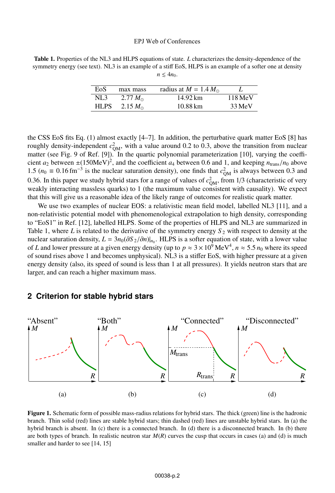Table 1. Properties of the NL3 and HLPS equations of state. *<sup>L</sup>* characterizes the density-dependence of the symmetry energy (see text). NL3 is an example of a stiff EoS, HLPS is an example of a softer one at density  $n \leq 4n_0$ .

| EoS         | max mass         | radius at $M = 1.4 M_{\odot}$ |                      |
|-------------|------------------|-------------------------------|----------------------|
| NL3         | 2.77 $M_{\odot}$ | $14.92 \,\mathrm{km}$         | $118 \,\mathrm{MeV}$ |
| <b>HLPS</b> | 2.15 $M_{\odot}$ | $10.88 \mathrm{km}$           | $33$ MeV             |

the CSS EoS fits Eq. (1) almost exactly [4–7]. In addition, the perturbative quark matter EoS [8] has roughly density-independent  $c_{QM}^2$ , with a value around 0.2 to 0.3, above the transition from nuclear matter (see Fig. 9 of Ref. [9]). In the quartic polynomial parameterization [10], varying the coefficient  $a_2$  between  $\pm (150 \text{MeV})^2$ , and the coefficient  $a_4$  between 0.6 and 1, and keeping  $n_{\text{trans}}/n_0$  above 1.5 ( $n_0 \equiv 0.16$  fm<sup>-3</sup> is the nuclear saturation density), one finds that  $c_{QM}^2$  is always between 0.3 and 0.36. In this paper we study hybrid stars for a range of values of  $c_{QM}^2$ , from 1/3 (characteristic of very weakly interacting massless quarks) to 1 (the maximum value consistent with causality). We expect that this will give us a reasonable idea of the likely range of outcomes for realistic quark matter.

We use two examples of nuclear EOS: a relativistic mean field model, labelled NL3 [11], and a non-relativistic potential model with phenomenological extrapolation to high density, corresponding to "EoS1" in Ref. [12], labelled HLPS. Some of the properties of HLPS and NL3 are summarized in Table 1, where *L* is related to the derivative of the symmetry energy  $S_2$  with respect to density at the nuclear saturation density,  $L = 3n_0(\partial S_2/\partial n)|_{n_0}$ . HLPS is a softer equation of state, with a lower value of *L* and lower pressure at a given energy density (up to  $p \approx 3 \times 10^9$  MeV<sup>4</sup>,  $n \approx 5.5 n_0$  where its speed of sound rises above 1 and becomes unphysical). NL3 is a stiffer EoS, with higher pressure at a given energy density (also, its speed of sound is less than 1 at all pressures). It yields neutron stars that are larger, and can reach a higher maximum mass.



### **2 Criterion for stable hybrid stars**

Figure 1. Schematic form of possible mass-radius relations for hybrid stars. The thick (green) line is the hadronic branch. Thin solid (red) lines are stable hybrid stars; thin dashed (red) lines are unstable hybrid stars. In (a) the hybrid branch is absent. In (c) there is a connected branch. In (d) there is a disconnected branch. In (b) there are both types of branch. In realistic neutron star  $M(R)$  curves the cusp that occurs in cases (a) and (d) is much smaller and harder to see [14, 15]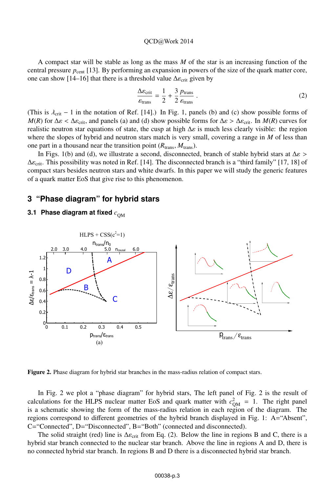#### QCD@Work 2014

A compact star will be stable as long as the mass *M* of the star is an increasing function of the central pressure  $p_{cent}$  [13]. By performing an expansion in powers of the size of the quark matter core, one can show [14–16] that there is a threshold value  $\Delta \varepsilon_{\text{crit}}$  given by

$$
\frac{\Delta \varepsilon_{\rm crit}}{\varepsilon_{\rm trans}} = \frac{1}{2} + \frac{3}{2} \frac{p_{\rm trans}}{\varepsilon_{\rm trans}} \,. \tag{2}
$$

(This is  $\lambda_{crit}$  – 1 in the notation of Ref. [14].) In Fig. 1, panels (b) and (c) show possible forms of *M*(*R*) for  $\Delta \varepsilon < \Delta \varepsilon_{\text{crit}}$ , and panels (a) and (d) show possible forms for  $\Delta \varepsilon > \Delta \varepsilon_{\text{crit}}$ . In *M*(*R*) curves for realistic neutron star equations of state, the cusp at high  $\Delta \varepsilon$  is much less clearly visible: the region where the slopes of hybrid and neutron stars match is very small, covering a range in *M* of less than one part in a thousand near the transition point  $(R<sub>trans</sub>, M<sub>trans</sub>)$ .

In Figs. 1(b) and (d), we illustrate a second, disconnected, branch of stable hybrid stars at  $\Delta \varepsilon$  >  $\Delta \varepsilon_{\rm crit}$ . This possibility was noted in Ref. [14]. The disconnected branch is a "third family" [17, 18] of compact stars besides neutron stars and white dwarfs. In this paper we will study the generic features of a quark matter EoS that give rise to this phenomenon.

# **3 "Phase diagram" for hybrid stars**

# **3.1 Phase diagram at fixed**  $c<sub>OM</sub>$



Figure 2. Phase diagram for hybrid star branches in the mass-radius relation of compact stars.

In Fig. 2 we plot a "phase diagram" for hybrid stars, The left panel of Fig. 2 is the result of calculations for the HLPS nuclear matter EoS and quark matter with  $c_{QM}^2 = 1$ . The right panel is a schematic showing the form of the mass-radius relation in each region of the diagram. The regions correspond to different geometries of the hybrid branch displayed in Fig. 1: A="Absent", C="Connected", D="Disconnected", B="Both" (connected and disconnected).

The solid straight (red) line is  $\Delta \varepsilon_{\rm crit}$  from Eq. (2). Below the line in regions B and C, there is a hybrid star branch connected to the nuclear star branch. Above the line in regions A and D, there is no connected hybrid star branch. In regions B and D there is a disconnected hybrid star branch.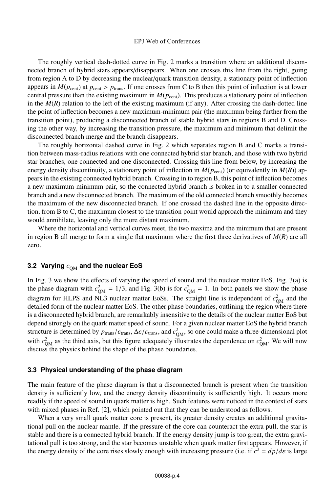The roughly vertical dash-dotted curve in Fig. 2 marks a transition where an additional disconnected branch of hybrid stars appears/disappears. When one crosses this line from the right, going from region A to D by decreasing the nuclear/quark transition density, a stationary point of inflection appears in  $M(p_{cent})$  at  $p_{cent} > p_{trans}$ . If one crosses from C to B then this point of inflection is at lower central pressure than the existing maximum in  $M(p_{cent})$ . This produces a stationary point of inflection in the  $M(R)$  relation to the left of the existing maximum (if any). After crossing the dash-dotted line the point of inflection becomes a new maximum-minimum pair (the maximum being further from the transition point), producing a disconnected branch of stable hybrid stars in regions B and D. Crossing the other way, by increasing the transition pressure, the maximum and minimum that delimit the disconnected branch merge and the branch disappears.

The roughly horizontal dashed curve in Fig. 2 which separates region B and C marks a transition between mass-radius relations with one connected hybrid star branch, and those with two hybrid star branches, one connected and one disconnected. Crossing this line from below, by increasing the energy density discontinuity, a stationary point of inflection in  $M(p_{cent})$  (or equivalently in  $M(R)$ ) appears in the existing connected hybrid branch. Crossing in to region B, this point of inflection becomes a new maximum-minimum pair, so the connected hybrid branch is broken in to a smaller connected branch and a new disconnected branch. The maximum of the old connected branch smoothly becomes the maximum of the new disconnected branch. If one crossed the dashed line in the opposite direction, from B to C, the maximum closest to the transition point would approach the minimum and they would annihilate, leaving only the more distant maximum.

Where the horizontal and vertical curves meet, the two maxima and the minimum that are present in region B all merge to form a single flat maximum where the first three derivatives of *M*(*R*) are all zero.

# **3.2 Varying**  $c_{OM}$  and the nuclear EoS

In Fig. 3 we show the effects of varying the speed of sound and the nuclear matter EoS. Fig. 3(a) is the phase diagram with  $c_{QM}^2 = 1/3$ , and Fig. 3(b) is for  $c_{QM}^2 = 1$ . In both panels we show the phase diagram for HLPS and NL3 nuclear matter EoSs. The straight line is independent of  $c_{\text{QM}}^2$  and the detailed form of the nuclear matter EoS. The other phase boundaries, outlining the region where there is a disconnected hybrid branch, are remarkably insensitive to the details of the nuclear matter EoS but depend strongly on the quark matter speed of sound. For a given nuclear matter EoS the hybrid branch structure is determined by  $p_{trans}/\varepsilon_{trans}$ ,  $\Delta \varepsilon / \varepsilon_{trans}$ , and  $c_{QM}^2$ , so one could make a three-dimensional plot with  $c_{QM}^2$  as the third axis, but this figure adequately illustrates the dependence on  $c_{QM}^2$ . We will now discuss the physics behind the shape of the phase boundaries.

### **3.3 Physical understanding of the phase diagram**

The main feature of the phase diagram is that a disconnected branch is present when the transition density is sufficiently low, and the energy density discontinuity is sufficiently high. It occurs more readily if the speed of sound in quark matter is high. Such features were noticed in the context of stars with mixed phases in Ref. [2], which pointed out that they can be understood as follows.

When a very small quark matter core is present, its greater density creates an additional gravitational pull on the nuclear mantle. If the pressure of the core can counteract the extra pull, the star is stable and there is a connected hybrid branch. If the energy density jump is too great, the extra gravitational pull is too strong, and the star becomes unstable when quark matter first appears. However, if the energy density of the core rises slowly enough with increasing pressure (i.e. if  $c^2 = dp/d\varepsilon$  is large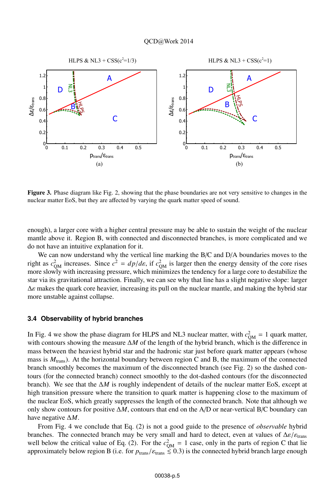#### QCD@Work 2014



Figure 3. Phase diagram like Fig. 2, showing that the phase boundaries are not very sensitive to changes in the nuclear matter EoS, but they are affected by varying the quark matter speed of sound.

enough), a larger core with a higher central pressure may be able to sustain the weight of the nuclear mantle above it. Region B, with connected and disconnected branches, is more complicated and we do not have an intuitive explanation for it.

We can now understand why the vertical line marking the B/C and D/A boundaries moves to the right as  $c_{\text{QM}}^2$  increases. Since  $c^2 = dp/d\varepsilon$ , if  $c_{\text{QM}}^2$  is larger then the energy density of the core rises more slowly with increasing pressure, which minimizes the tendency for a large core to destabilize the star via its gravitational attraction. Finally, we can see why that line has a slight negative slope: larger  $\Delta \varepsilon$  makes the quark core heavier, increasing its pull on the nuclear mantle, and making the hybrid star more unstable against collapse.

#### **3.4 Observability of hybrid branches**

In Fig. 4 we show the phase diagram for HLPS and NL3 nuclear matter, with  $c_{QM}^2 = 1$  quark matter, with contours showing the measure Δ*M* of the length of the hybrid branch, which is the difference in mass between the heaviest hybrid star and the hadronic star just before quark matter appears (whose mass is  $M<sub>trans</sub>$ ). At the horizontal boundary between region C and B, the maximum of the connected branch smoothly becomes the maximum of the disconnected branch (see Fig. 2) so the dashed contours (for the connected branch) connect smoothly to the dot-dashed contours (for the disconnected branch). We see that the  $\Delta M$  is roughly independent of details of the nuclear matter EoS, except at high transition pressure where the transition to quark matter is happening close to the maximum of the nuclear EoS, which greatly suppresses the length of the connected branch. Note that although we only show contours for positive Δ*M*, contours that end on the A/D or near-vertical B/C boundary can have negative Δ*M*.

From Fig. 4 we conclude that Eq. (2) is not a good guide to the presence of *observable* hybrid branches. The connected branch may be very small and hard to detect, even at values of  $\Delta\varepsilon/\varepsilon_{trans}$ well below the critical value of Eq. (2). For the  $c_{QM}^2 = 1$  case, only in the parts of region C that lie approximately below region B (i.e. for  $p_{\text{trans}}/\varepsilon_{\text{trans}} \lesssim 0.3$ ) is the connected hybrid branch large enough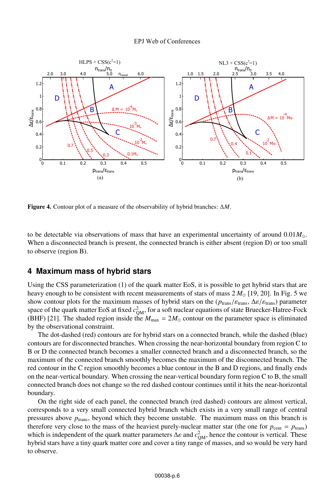

Figure 4. Contour plot of a measure of the observability of hybrid branches: <sup>Δ</sup>*M*.

to be detectable via observations of mass that have an experimental uncertainty of around  $0.01M_{\odot}$ . When a disconnected branch is present, the connected branch is either absent (region D) or too small to observe (region B).

# **4 Maximum mass of hybrid stars**

Using the CSS parameterization (1) of the quark matter EoS, it is possible to get hybrid stars that are heavy enough to be consistent with recent measurements of stars of mass  $2 M_{\odot}$  [19, 20]. In Fig. 5 we show contour plots for the maximum masses of hybrid stars on the ( $p_{trans}/\varepsilon_{trans}$ ,  $\Delta\varepsilon/\varepsilon_{trans}$ ) parameter space of the quark matter EoS at fixed  $c_{QM}^2$ , for a soft nuclear equations of state Bruecker-Hatree-Fock (BHF) [21]. The shaded region inside the  $M_{\text{max}} = 2M_{\odot}$  contour on the parameter space is eliminated by the observational constraint.

The dot-dashed (red) contours are for hybrid stars on a connected branch, while the dashed (blue) contours are for disconnected branches. When crossing the near-horizontal boundary from region C to B or D the connected branch becomes a smaller connected branch and a disconnected branch, so the maximum of the connected branch smoothly becomes the maximum of the disconnected branch. The red contour in the C region smoothly becomes a blue contour in the B and D regions, and finally ends on the near-vertical boundary. When crossing the near-vertical boundary form region C to B, the small connected branch does not change so the red dashed contour continues until it hits the near-horizontal boundary.

On the right side of each panel, the connected branch (red dashed) contours are almost vertical, corresponds to a very small connected hybrid branch which exists in a very small range of central pressures above  $p_{trans}$ , beyond which they become unstable. The maximum mass on this branch is therefore very close to the mass of the heaviest purely-nuclear matter star (the one for  $p_{\text{cent}} = p_{\text{trans}}$ ) which is independent of the quark matter parameters  $\Delta \varepsilon$  and  $c_{QM}^2$ , hence the contour is vertical. These hybrid stars have a tiny quark matter core and cover a tiny range of masses, and so would be very hard to observe.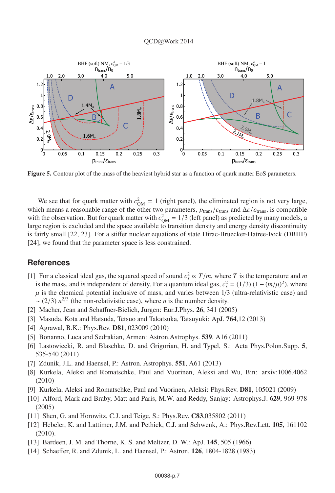#### QCD@Work 2014



Figure 5. Contour plot of the mass of the heaviest hybrid star as a function of quark matter EoS parameters.

We see that for quark matter with  $c_{QM}^2 = 1$  (right panel), the eliminated region is not very large, which means a reasonable range of the other two parameters,  $p_{trans}/\varepsilon_{trans}$  and  $\Delta\varepsilon/\varepsilon_{trans}$ , is compatible with the observation. But for quark matter with  $c_{QM}^2 = 1/3$  (left panel) as predicted by many models, a large region is excluded and the space available to transition density and energy density discontinuity is fairly small [22, 23]. For a stiffer nuclear equations of state Dirac-Bruecker-Hatree-Fock (DBHF) [24], we found that the parameter space is less constrained.

# **References**

- [1] For a classical ideal gas, the squared speed of sound  $c_s^2 \propto T/m$ , where *T* is the temperature and *m* is the mass, and is independent of density. For a quantum ideal gas,  $c_s^2 = (1/3) (1 - (m/\mu)^2)$ , where  $\mu$  is the chemical potential inclusive of mass, and varies between 1/3 (ultra-relativistic case) and  $\sim$  (2/3)  $n^{2/3}$  (the non-relativistic case), where *n* is the number density.
- [2] Macher, Jean and Schaffner-Bielich, Jurgen: Eur.J.Phys. 26, 341 (2005)
- [3] Masuda, Kota and Hatsuda, Tetsuo and Takatsuka, Tatsuyuki: ApJ. 764,12 (2013)
- [4] Agrawal, B.K.: Phys.Rev. D81, 023009 (2010)
- [5] Bonanno, Luca and Sedrakian, Armen: Astron.Astrophys. 539, A16 (2011)
- [6] Lastowiecki, R. and Blaschke, D. and Grigorian, H. and Typel, S.: Acta Phys.Polon.Supp. 5, 535-540 (2011)
- [7] Zdunik, J.L. and Haensel, P.: Astron. Astrophys. 551, A61 (2013)
- [8] Kurkela, Aleksi and Romatschke, Paul and Vuorinen, Aleksi and Wu, Bin: arxiv:1006.4062 (2010)
- [9] Kurkela, Aleksi and Romatschke, Paul and Vuorinen, Aleksi: Phys.Rev. D81, 105021 (2009)
- [10] Alford, Mark and Braby, Matt and Paris, M.W. and Reddy, Sanjay: Astrophys.J. 629, 969-978 (2005)
- [11] Shen, G. and Horowitz, C.J. and Teige, S.: Phys.Rev. C83,035802 (2011)
- [12] Hebeler, K. and Lattimer, J.M. and Pethick, C.J. and Schwenk, A.: Phys.Rev.Lett. 105, 161102 (2010).
- [13] Bardeen, J. M. and Thorne, K. S. and Meltzer, D. W.: ApJ. 145, 505 (1966)
- [14] Schaeffer, R. and Zdunik, L. and Haensel, P.: Astron. 126, 1804-1828 (1983)